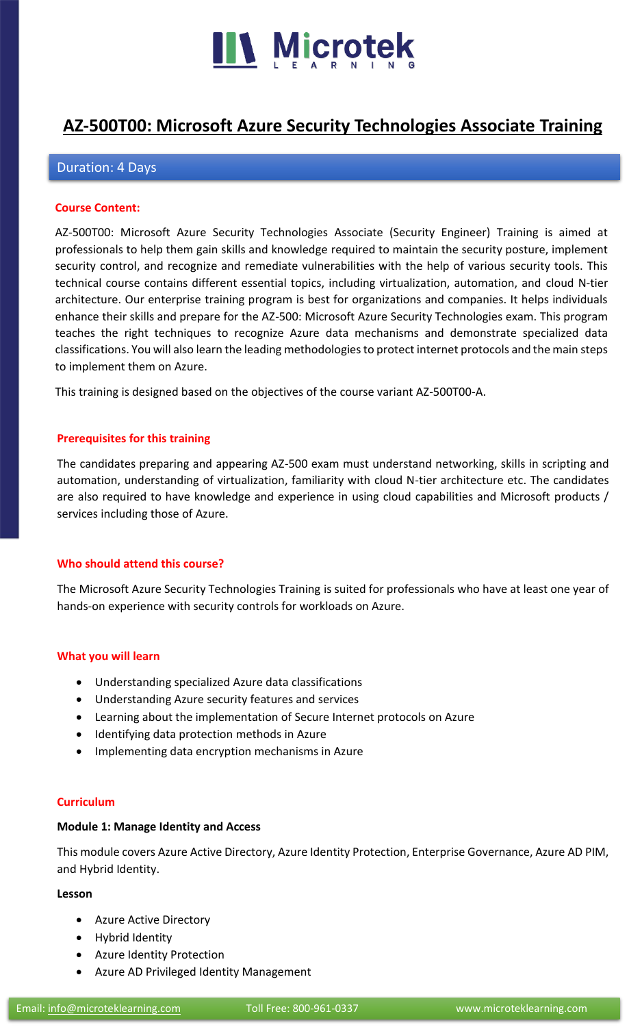

# **[AZ-500T00: Microsoft Azure Security Technologies Associate](https://www.microteklearning.com/az-500t00-microsoft-azure-security-technologies-training/) Training**

### Duration: 4 Days

#### **Course Content:**

AZ-500T00: Microsoft Azure Security Technologies Associate (Security Engineer) Training is aimed at professionals to help them gain skills and knowledge required to maintain the security posture, implement security control, and recognize and remediate vulnerabilities with the help of various security tools. This technical course contains different essential topics, including virtualization, automation, and cloud N-tier architecture. Our enterprise training program is best for organizations and companies. It helps individuals enhance their skills and prepare for the AZ-500: Microsoft Azure Security Technologies exam. This program teaches the right techniques to recognize Azure data mechanisms and demonstrate specialized data classifications. You will also learn the leading methodologies to protect internet protocols and the main steps to implement them on Azure.

This training is designed based on the objectives of the course variant AZ-500T00-A.

#### **Prerequisites for this training**

The candidates preparing and appearing AZ-500 exam must understand networking, skills in scripting and automation, understanding of virtualization, familiarity with cloud N-tier architecture etc. The candidates are also required to have knowledge and experience in using cloud capabilities and Microsoft products / services including those of Azure.

#### **Who should attend this course?**

The Microsoft Azure Security Technologies Training is suited for professionals who have at least one year of hands-on experience with security controls for workloads on Azure.

#### **What you will learn**

- Understanding specialized Azure data classifications
- Understanding Azure security features and services
- Learning about the implementation of Secure Internet protocols on Azure
- Identifying data protection methods in Azure
- Implementing data encryption mechanisms in Azure

#### **Curriculum**

#### **Module 1: Manage Identity and Access**

This module covers Azure Active Directory, Azure Identity Protection, Enterprise Governance, Azure AD PIM, and Hybrid Identity.

#### **Lesson**

- Azure Active Directory
- Hybrid Identity
- Azure Identity Protection
- Azure AD Privileged Identity Management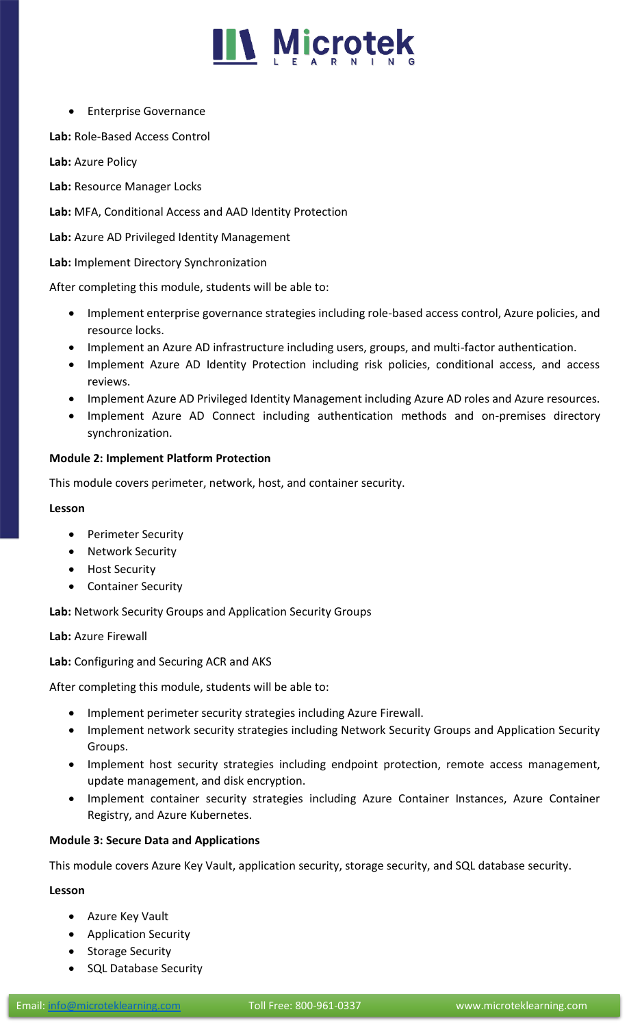

• Enterprise Governance

**Lab:** Role-Based Access Control

**Lab:** Azure Policy

**Lab:** Resource Manager Locks

**Lab:** MFA, Conditional Access and AAD Identity Protection

**Lab:** Azure AD Privileged Identity Management

**Lab:** Implement Directory Synchronization

After completing this module, students will be able to:

- Implement enterprise governance strategies including role-based access control, Azure policies, and resource locks.
- Implement an Azure AD infrastructure including users, groups, and multi-factor authentication.
- Implement Azure AD Identity Protection including risk policies, conditional access, and access reviews.
- Implement Azure AD Privileged Identity Management including Azure AD roles and Azure resources.
- Implement Azure AD Connect including authentication methods and on-premises directory synchronization.

#### **Module 2: Implement Platform Protection**

This module covers perimeter, network, host, and container security.

#### **Lesson**

- Perimeter Security
- Network Security
- Host Security
- Container Security

**Lab:** Network Security Groups and Application Security Groups

**Lab:** Azure Firewall

**Lab:** Configuring and Securing ACR and AKS

After completing this module, students will be able to:

- Implement perimeter security strategies including Azure Firewall.
- Implement network security strategies including Network Security Groups and Application Security Groups.
- Implement host security strategies including endpoint protection, remote access management, update management, and disk encryption.
- Implement container security strategies including Azure Container Instances, Azure Container Registry, and Azure Kubernetes.

#### **Module 3: Secure Data and Applications**

This module covers Azure Key Vault, application security, storage security, and SQL database security.

#### **Lesson**

- Azure Key Vault
- Application Security
- Storage Security
- SQL Database Security